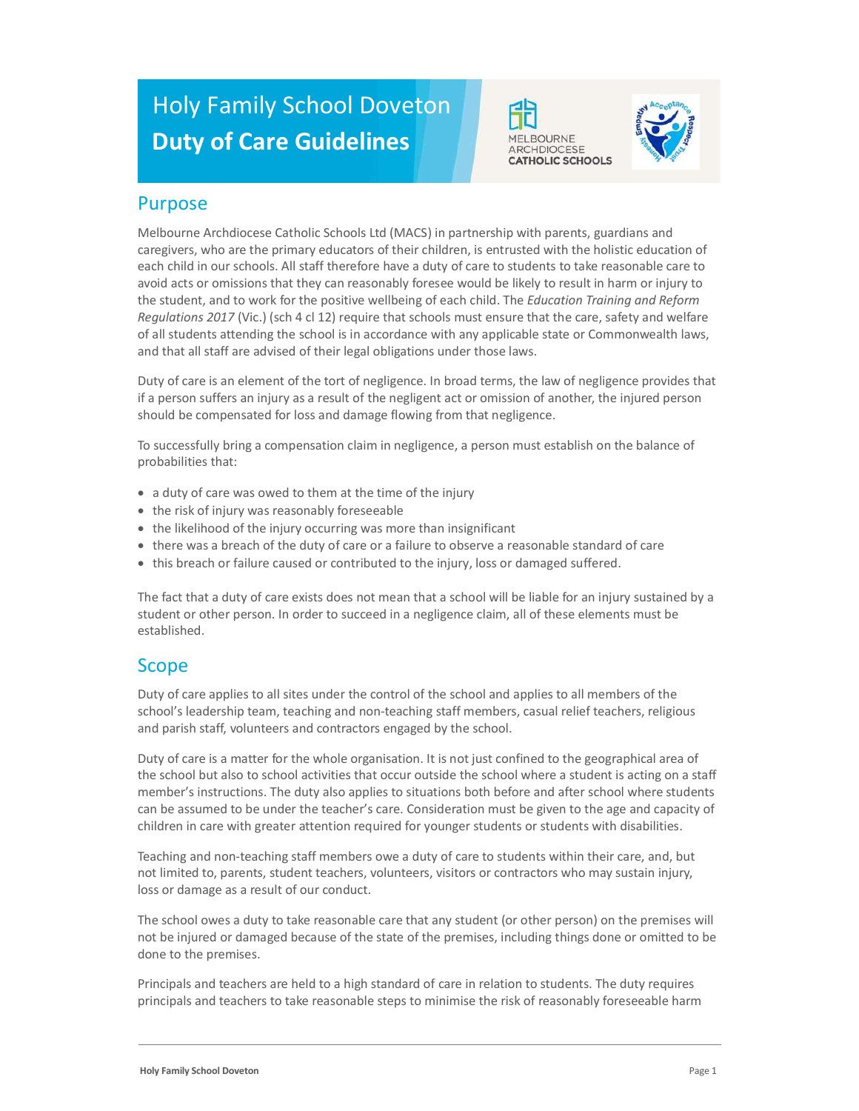# Holy Family School Doveton Duty of Care Guidelines





#### Purpose

Melbourne Archdiocese Catholic Schools Ltd (MACS) in partnership with parents, guardians and caregivers, who are the primary educators of their children, is entrusted with the holistic education of each child in our schools. All staff therefore have a duty of care to students to take reasonable care to avoid acts or omissions that they can reasonably foresee would be likely to result in harm or injury to the student, and to work for the positive wellbeing of each child. The Education Training and Reform Regulations 2017 (Vic.) (sch 4 cl 12) require that schools must ensure that the care, safety and welfare of all students attending the school is in accordance with any applicable state or Commonwealth laws, and that all staff are advised of their legal obligations under those laws.

Duty of care is an element of the tort of negligence. In broad terms, the law of negligence provides that if a person suffers an injury as a result of the negligent act or omission of another, the injured person should be compensated for loss and damage flowing from that negligence.

To successfully bring a compensation claim in negligence, a person must establish on the balance of probabilities that:

- a duty of care was owed to them at the time of the injury
- the risk of injury was reasonably foreseeable
- the likelihood of the injury occurring was more than insignificant
- there was a breach of the duty of care or a failure to observe a reasonable standard of care
- this breach or failure caused or contributed to the injury, loss or damaged suffered.

The fact that a duty of care exists does not mean that a school will be liable for an injury sustained by a student or other person. In order to succeed in a negligence claim, all of these elements must be established.

#### Scope

Duty of care applies to all sites under the control of the school and applies to all members of the school's leadership team, teaching and non-teaching staff members, casual relief teachers, religious and parish staff, volunteers and contractors engaged by the school.

Duty of care is a matter for the whole organisation. It is not just confined to the geographical area of the school but also to school activities that occur outside the school where a student is acting on a staff member's instructions. The duty also applies to situations both before and after school where students can be assumed to be under the teacher's care. Consideration must be given to the age and capacity of children in care with greater attention required for younger students or students with disabilities.

Teaching and non-teaching staff members owe a duty of care to students within their care, and, but not limited to, parents, student teachers, volunteers, visitors or contractors who may sustain injury, loss or damage as a result of our conduct.

The school owes a duty to take reasonable care that any student (or other person) on the premises will not be injured or damaged because of the state of the premises, including things done or omitted to be done to the premises.

Principals and teachers are held to a high standard of care in relation to students. The duty requires principals and teachers to take reasonable steps to minimise the risk of reasonably foreseeable harm